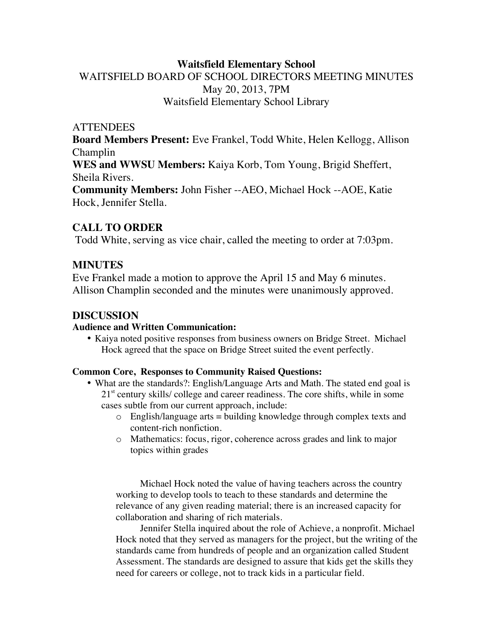## **Waitsfield Elementary School** WAITSFIELD BOARD OF SCHOOL DIRECTORS MEETING MINUTES May 20, 2013, 7PM Waitsfield Elementary School Library

#### **ATTENDEES**

**Board Members Present:** Eve Frankel, Todd White, Helen Kellogg, Allison Champlin

**WES and WWSU Members:** Kaiya Korb, Tom Young, Brigid Sheffert, Sheila Rivers.

**Community Members:** John Fisher --AEO, Michael Hock --AOE, Katie Hock, Jennifer Stella.

### **CALL TO ORDER**

Todd White, serving as vice chair, called the meeting to order at 7:03pm.

## **MINUTES**

Eve Frankel made a motion to approve the April 15 and May 6 minutes. Allison Champlin seconded and the minutes were unanimously approved.

### **DISCUSSION**

#### **Audience and Written Communication:**

• Kaiya noted positive responses from business owners on Bridge Street. Michael Hock agreed that the space on Bridge Street suited the event perfectly.

#### **Common Core, Responses to Community Raised Questions:**

- What are the standards?: English/Language Arts and Math. The stated end goal is  $21<sup>st</sup>$  century skills/ college and career readiness. The core shifts, while in some cases subtle from our current approach, include:
	- $\circ$  English/language arts = building knowledge through complex texts and content-rich nonfiction.
	- o Mathematics: focus, rigor, coherence across grades and link to major topics within grades

Michael Hock noted the value of having teachers across the country working to develop tools to teach to these standards and determine the relevance of any given reading material; there is an increased capacity for collaboration and sharing of rich materials.

Jennifer Stella inquired about the role of Achieve, a nonprofit. Michael Hock noted that they served as managers for the project, but the writing of the standards came from hundreds of people and an organization called Student Assessment. The standards are designed to assure that kids get the skills they need for careers or college, not to track kids in a particular field.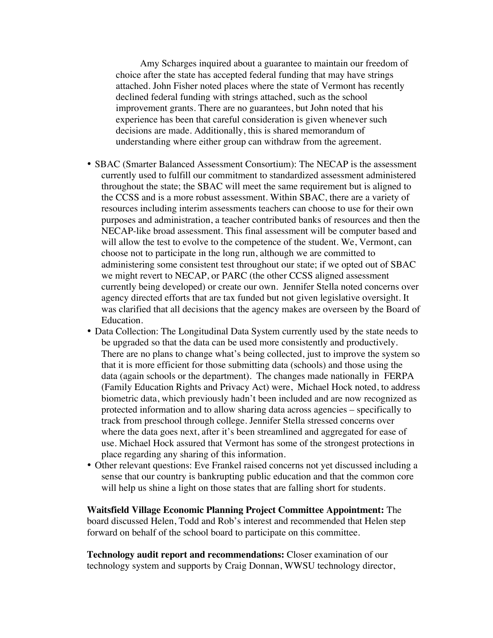Amy Scharges inquired about a guarantee to maintain our freedom of choice after the state has accepted federal funding that may have strings attached. John Fisher noted places where the state of Vermont has recently declined federal funding with strings attached, such as the school improvement grants. There are no guarantees, but John noted that his experience has been that careful consideration is given whenever such decisions are made. Additionally, this is shared memorandum of understanding where either group can withdraw from the agreement.

- SBAC (Smarter Balanced Assessment Consortium): The NECAP is the assessment currently used to fulfill our commitment to standardized assessment administered throughout the state; the SBAC will meet the same requirement but is aligned to the CCSS and is a more robust assessment. Within SBAC, there are a variety of resources including interim assessments teachers can choose to use for their own purposes and administration, a teacher contributed banks of resources and then the NECAP-like broad assessment. This final assessment will be computer based and will allow the test to evolve to the competence of the student. We, Vermont, can choose not to participate in the long run, although we are committed to administering some consistent test throughout our state; if we opted out of SBAC we might revert to NECAP, or PARC (the other CCSS aligned assessment currently being developed) or create our own. Jennifer Stella noted concerns over agency directed efforts that are tax funded but not given legislative oversight. It was clarified that all decisions that the agency makes are overseen by the Board of Education.
- Data Collection: The Longitudinal Data System currently used by the state needs to be upgraded so that the data can be used more consistently and productively. There are no plans to change what's being collected, just to improve the system so that it is more efficient for those submitting data (schools) and those using the data (again schools or the department). The changes made nationally in FERPA (Family Education Rights and Privacy Act) were, Michael Hock noted, to address biometric data, which previously hadn't been included and are now recognized as protected information and to allow sharing data across agencies – specifically to track from preschool through college. Jennifer Stella stressed concerns over where the data goes next, after it's been streamlined and aggregated for ease of use. Michael Hock assured that Vermont has some of the strongest protections in place regarding any sharing of this information.
- Other relevant questions: Eve Frankel raised concerns not yet discussed including a sense that our country is bankrupting public education and that the common core will help us shine a light on those states that are falling short for students.

**Waitsfield Village Economic Planning Project Committee Appointment:** The board discussed Helen, Todd and Rob's interest and recommended that Helen step forward on behalf of the school board to participate on this committee.

**Technology audit report and recommendations:** Closer examination of our technology system and supports by Craig Donnan, WWSU technology director,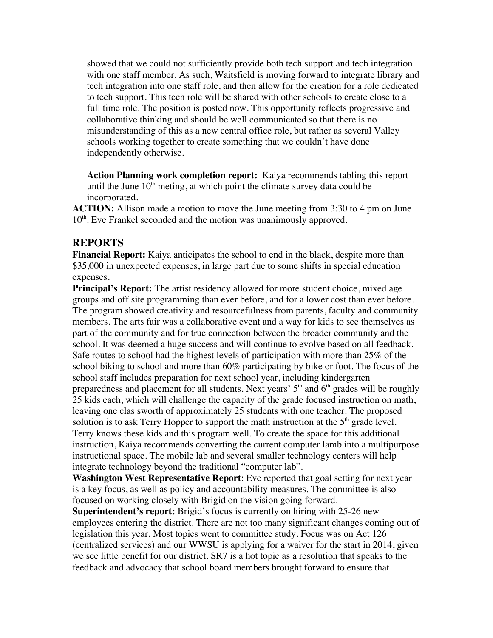showed that we could not sufficiently provide both tech support and tech integration with one staff member. As such, Waitsfield is moving forward to integrate library and tech integration into one staff role, and then allow for the creation for a role dedicated to tech support. This tech role will be shared with other schools to create close to a full time role. The position is posted now. This opportunity reflects progressive and collaborative thinking and should be well communicated so that there is no misunderstanding of this as a new central office role, but rather as several Valley schools working together to create something that we couldn't have done independently otherwise.

**Action Planning work completion report:** Kaiya recommends tabling this report until the June  $10<sup>th</sup>$  meting, at which point the climate survey data could be incorporated.

**ACTION:** Allison made a motion to move the June meeting from 3:30 to 4 pm on June 10<sup>th</sup>. Eve Frankel seconded and the motion was unanimously approved.

#### **REPORTS**

**Financial Report:** Kaiya anticipates the school to end in the black, despite more than \$35,000 in unexpected expenses, in large part due to some shifts in special education expenses.

**Principal's Report:** The artist residency allowed for more student choice, mixed age groups and off site programming than ever before, and for a lower cost than ever before. The program showed creativity and resourcefulness from parents, faculty and community members. The arts fair was a collaborative event and a way for kids to see themselves as part of the community and for true connection between the broader community and the school. It was deemed a huge success and will continue to evolve based on all feedback. Safe routes to school had the highest levels of participation with more than 25% of the school biking to school and more than 60% participating by bike or foot. The focus of the school staff includes preparation for next school year, including kindergarten preparedness and placement for all students. Next years'  $5<sup>th</sup>$  and  $6<sup>th</sup>$  grades will be roughly 25 kids each, which will challenge the capacity of the grade focused instruction on math, leaving one clas sworth of approximately 25 students with one teacher. The proposed solution is to ask Terry Hopper to support the math instruction at the  $5<sup>th</sup>$  grade level. Terry knows these kids and this program well. To create the space for this additional instruction, Kaiya recommends converting the current computer lamb into a multipurpose instructional space. The mobile lab and several smaller technology centers will help integrate technology beyond the traditional "computer lab".

**Washington West Representative Report**: Eve reported that goal setting for next year is a key focus, as well as policy and accountability measures. The committee is also focused on working closely with Brigid on the vision going forward.

**Superintendent's report:** Brigid's focus is currently on hiring with 25-26 new employees entering the district. There are not too many significant changes coming out of legislation this year. Most topics went to committee study. Focus was on Act 126 (centralized services) and our WWSU is applying for a waiver for the start in 2014, given we see little benefit for our district. SR7 is a hot topic as a resolution that speaks to the feedback and advocacy that school board members brought forward to ensure that